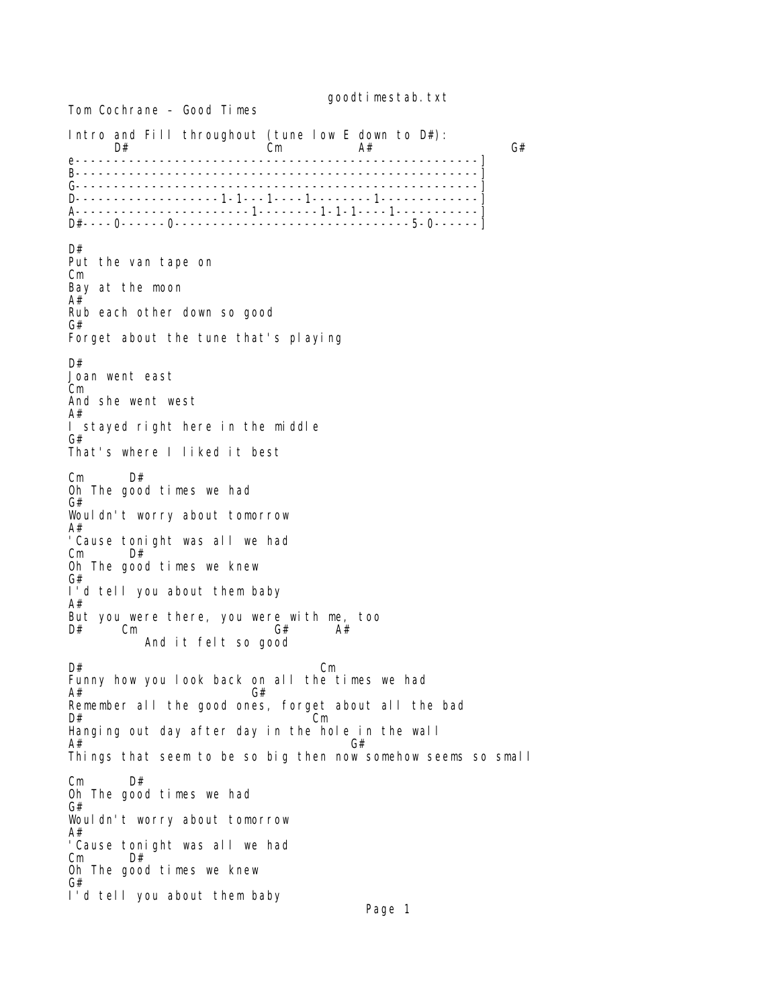goodtimestab.txt Tom Cochrane – Good Times Intro and Fill throughout (tune low E down to  $D#$ ):<br>Cm  $A#$  $D#$  Cm  $A#$  G# e-----------------------------------------------------] B-----------------------------------------------------] G-----------------------------------------------------] D-------------------1-1---1----1--------1-------------] A-----------------------1--------1-1-1----1-----------] D#----0------0-------------------------------5-0------]  $D#$ Put the van tape on Cm Bay at the moon  $A#$ Rub each other down so good G# Forget about the tune that's playing D# Joan went east Cm And she went west A# I stayed right here in the middle G# That's where I liked it best Cm D# Oh The good times we had G# Wouldn't worry about tomorrow A# 'Cause tonight was all we had  $\mathsf{Cm}$ Oh The good times we knew G# I'd tell you about them baby A# But you were there, you were with me, too<br>D#  $CH$  A#  $D#$  Cm  $G#$   $G#$  And it felt so good  $D#$  Cm Funny how you look back on all the times we had  $A#$  G# Remember all the good ones, forget about all the bad  $D#$  Cm Hanging out day after day in the hole in the wall  $A#$  G# Things that seem to be so big then now somehow seems so small Cm D# Oh The good times we had  $G#$ Wouldn't worry about tomorrow A# 'Cause tonight was all we had Cm D# Oh The good times we knew G# I'd tell you about them baby Page 1